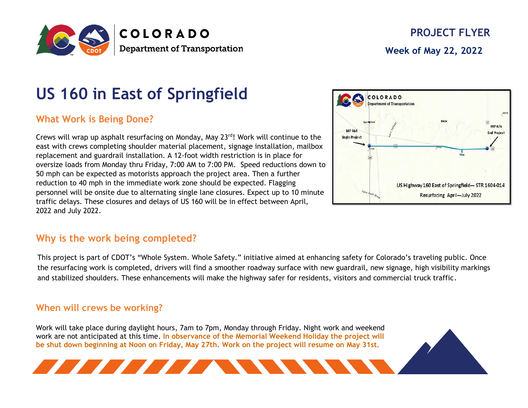

# **US 160 in East of Springfield**

## **What Work is Being Done?**

Crews will wrap up asphalt resurfacing on Monday, May 23rd! Work will continue to the east with crews completing shoulder material placement, signage installation, mailbox replacement and guardrail installation. A 12-foot width restriction is in place for oversize loads from Monday thru Friday, 7:00 AM to 7:00 PM. Speed reductions down to 50 mph can be expected as motorists approach the project area. Then a further reduction to 40 mph in the immediate work zone should be expected. Flagging personnel will be onsite due to alternating single lane closures. Expect up to 10 minute traffic delays. These closures and delays of US 160 will be in effect between April, 2022 and July 2022.



**A MARIA MARIA MARIA MENDELI PERSONA DEL PERSONA DEL PERSONA DEL PERSONA DEL PERSONA DEL PERSONA DEL PERSONA D** 

This project is part of CDOT's "Whole System. Whole Safety." initiative aimed at enhancing safety for Colorado's traveling public. Once the resurfacing work is completed, drivers will find a smoother roadway surface with new guardrail, new signage, high visibility markings and stabilized shoulders. These enhancements will make the highway safer for residents, visitors and commercial truck traffic.

#### **When will crews be working?**

Work will take place during daylight hours, 7am to 7pm, Monday through Friday. Night work and weekend work are not anticipated at this time. **In observance of the Memorial Weekend Holiday the project will be shut down beginning at Noon on Friday, May 27th. Work on the project will resume on May 31st.**